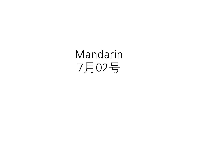Mandarin 7月02号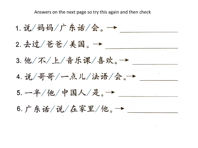Answers on the next page so try this again and then check

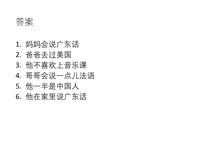答案

1. 妈妈会说广东话 2. 爸爸去过美国 3. 他不喜欢上音乐课 4. 哥哥会说一点儿法语 5. 他一半是中国人 6. 他在家里说广东话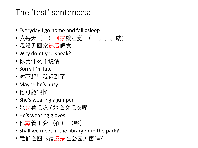# The 'test' sentences:

- Everyday I go home and fall asleep
- 我每天(一)回家就睡觉 (一 。。。就)
- 我没见回家然后睡觉
- Why don't you speak?
- 你为什么不说话!
- Sorry I 'm late
- 对不起!我迟到了
- Maybe he's busy
- 他可能很忙
- She's wearing a jumper
- •她穿着毛衣 / 她在穿毛衣呢
- He's wearing gloves
- 他戴着手套 (在) (呢)
- Shall we meet in the library or in the park?
- •我们在图书馆还是在公园见面吗?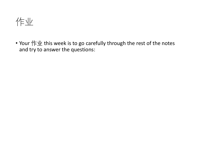作业

• Your  $f \notin \mathcal{W}$  this week is to go carefully through the rest of the notes and try to answer the questions: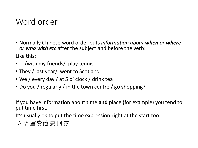# Word order

- Normally Chinese word order puts *information about when or where or who with etc* after the subject and before the verb: Like this:
- I /with my friends/ play tennis
- They / last year/ went to Scotland
- We / every day / at 5 o' clock / drink tea
- Do you / regularly / in the town centre / go shopping?

If you have information about time **and** place (for example) you tend to put time first.

It's usually ok to put the time expression right at the start too:

下 个 星期 **他** 要 回 家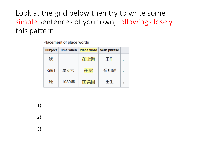Look at the grid below then try to write some simple sentences of your own, following closely this pattern.

Placement of place words

|    | Subject   Time when |      | <b>Place word Verb phrase</b> |         |
|----|---------------------|------|-------------------------------|---------|
| 我  |                     | 在 上海 | 工作                            | ۰       |
| 你们 | 星期六                 | 在家   | 看 电影                          | ۰       |
| 她  | 1980年               | 在 美国 | 出生                            | $\circ$ |

1)

2)

3)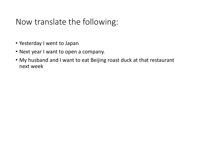# Now translate the following:

- Yesterday I went to Japan
- Next year I want to open a company.
- My husband and I want to eat Beijing roast duck at that restaurant next week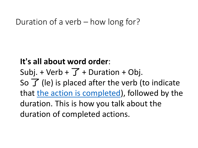## Duration of a verb – how long for?

# **It's all about word order**:

Subj. + Verb +  $\overline{J}$  + Duration + Obj.

So  $\overline{J}$  (le) is placed after the verb (to indicate

that [the action is completed\)](https://resources.allsetlearning.com/chinese/grammar/Expressing_completion_with_%22le%22), followed by the

duration. This is how you talk about the duration of completed actions.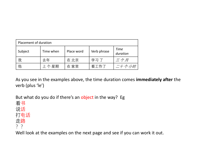| Placement of duration |           |            |             |                         |  |  |
|-----------------------|-----------|------------|-------------|-------------------------|--|--|
| Subject               | Time when | Place word | Verb phrase | <b>Time</b><br>duration |  |  |
| 我                     | 去年        | 在北京        | 学习了         | 三个月                     |  |  |
| 他                     | 上个星期      | 在家里        | 看工作了        | 个小时                     |  |  |

As you see in the examples above, the time duration comes **immediately after** the verb (plus 'le')

But what do you do if there's an object in the way? Eg

看书 说话 打电话 走路 ??

Well look at the examples on the next page and see if you can work it out.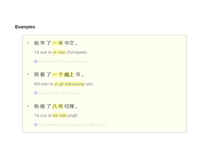#### **Examples**

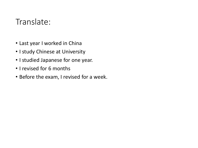### Translate:

- Last year I worked in China
- I study Chinese at University
- I studied Japanese for one year.
- I revised for 6 months
- Before the exam, I revised for a week.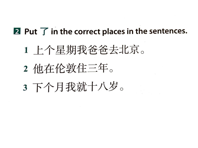## 2 Put  $\overline{f}$  in the correct places in the sentences.

# 1 上个星期我爸爸去北京。

- 2 他在伦敦住三年。
- 3 下个月我就十八岁。